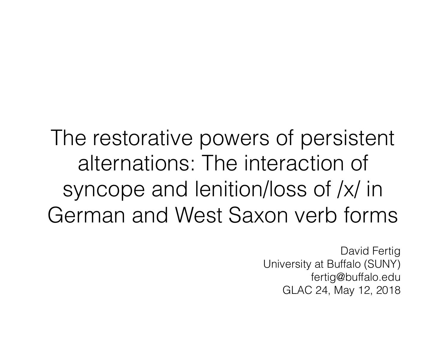The restorative powers of persistent alternations: The interaction of syncope and lenition/loss of /x/ in German and West Saxon verb forms

> David Fertig University at Buffalo (SUNY) fertig@buffalo.edu GLAC 24, May 12, 2018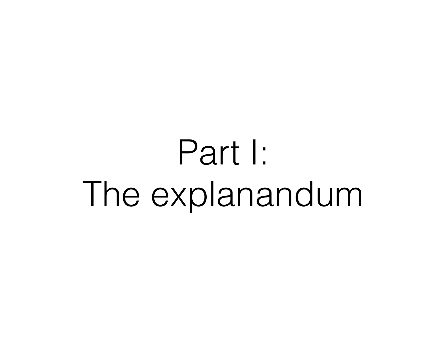# Part I: The explanandum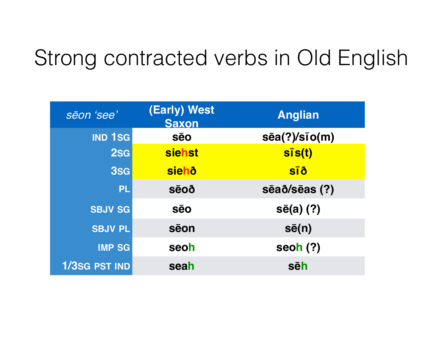## Strong contracted verbs in Old English

| sēon 'see'     | (Early) West<br><b>Saxon</b> | <b>Anglian</b>              |  |
|----------------|------------------------------|-----------------------------|--|
| <b>IND 1SG</b> | <b>sēo</b>                   | $s\bar{e}a(?)/s\bar{1}o(m)$ |  |
| $2$ sg         | <b>siehst</b>                | $S\bar{I}S(t)$              |  |
| 3sG            | <b>siehð</b>                 | <b>SĪð</b>                  |  |
| <b>PL</b>      | <b>sēoð</b>                  | sēað/sēas (?)               |  |
| <b>SBJV SG</b> | <b>SēO</b>                   | $s\bar{e}(a)$ (?)           |  |
| <b>SBJV PL</b> | sēon                         | $s\bar{e}(n)$               |  |
| <b>IMP SG</b>  | seoh                         | seoh $(?)$                  |  |
| 1/3SG PST IND  | seah                         | sēh                         |  |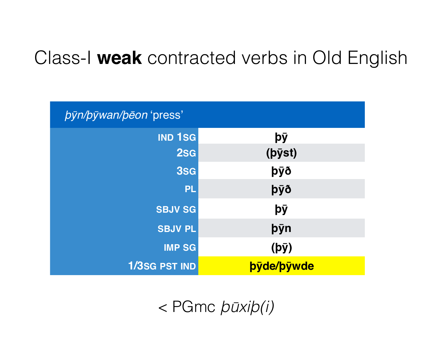## Class-I **weak** contracted verbs in Old English

| <i>byn/bywan/beon 'press'</i> |                   |
|-------------------------------|-------------------|
| <b>IND 1SG</b>                | þÿ                |
| 2sg                           | (pyst)            |
| 3sG                           | þÿð               |
| PL                            | þÿð               |
| <b>SBJV SG</b>                | þÿ                |
| <b>SBJV PL</b>                | þýn               |
| <b>IMP SG</b>                 | $(b\bar{y})$      |
| <b>1/3SG PST IND</b>          | <b>byde/bywde</b> |

< PGmc þū*xi*þ*(i)*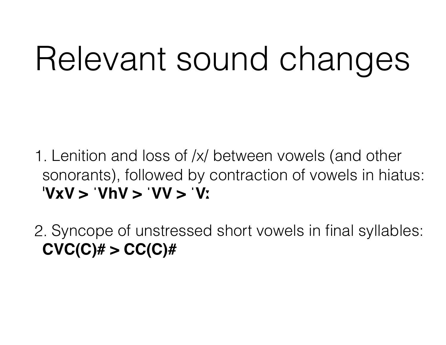# Relevant sound changes

1. Lenition and loss of /x/ between vowels (and other sonorants), followed by contraction of vowels in hiatus: ˈ**VxV > ˈVhV > ˈVV > ˈVː**

2. Syncope of unstressed short vowels in final syllables: **CVC(C)# > CC(C)#**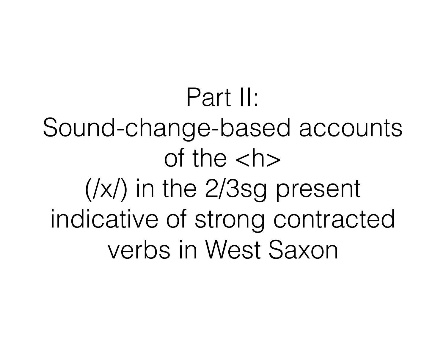Part II: Sound-change-based accounts of the  $$ (/x/) in the 2/3sg present indicative of strong contracted verbs in West Saxon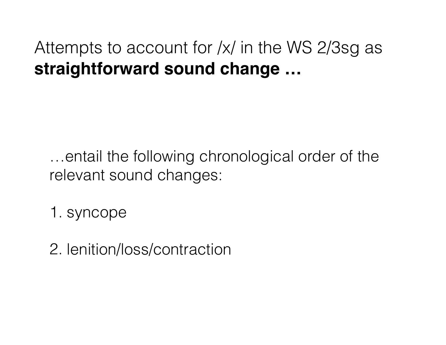#### Attempts to account for /x/ in the WS 2/3sg as **straightforward sound change …**

…entail the following chronological order of the relevant sound changes:

1. syncope

2. lenition/loss/contraction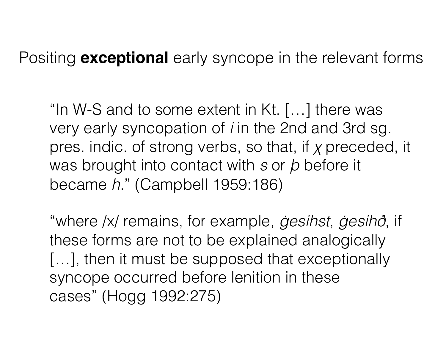Positing **exceptional** early syncope in the relevant forms

"In W-S and to some extent in Kt. […] there was very early syncopation of *i* in the 2nd and 3rd sg. pres. indic. of strong verbs, so that, if χ preceded, it was brought into contact with *s* or þ before it became *h*." (Campbell 1959:186)

"where /x/ remains, for example, ġ*esihst*, ġ*esih*ð, if these forms are not to be explained analogically [...], then it must be supposed that exceptionally syncope occurred before lenition in these cases" (Hogg 1992:275)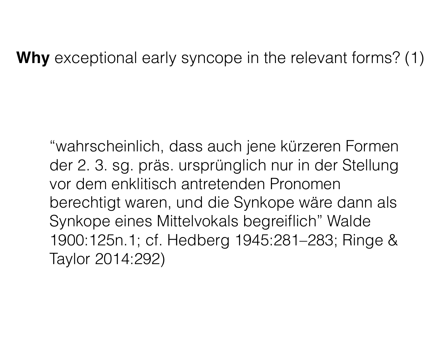**Why** exceptional early syncope in the relevant forms? (1)

"wahrscheinlich, dass auch jene kürzeren Formen der 2. 3. sg. präs. ursprünglich nur in der Stellung vor dem enklitisch antretenden Pronomen berechtigt waren, und die Synkope wäre dann als Synkope eines Mittelvokals begreiflich" Walde 1900:125n.1; cf. Hedberg 1945:281–283; Ringe & Taylor 2014:292)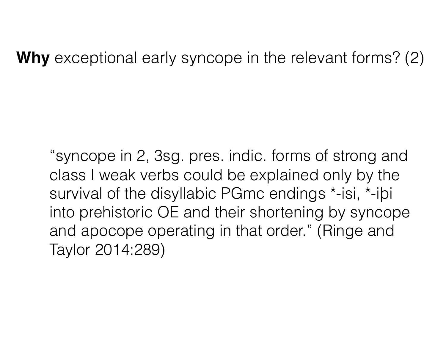**Why** exceptional early syncope in the relevant forms? (2)

"syncope in 2, 3sg. pres. indic. forms of strong and class I weak verbs could be explained only by the survival of the disyllabic PGmc endings \*-isi, \*-iþi into prehistoric OE and their shortening by syncope and apocope operating in that order." (Ringe and Taylor 2014:289)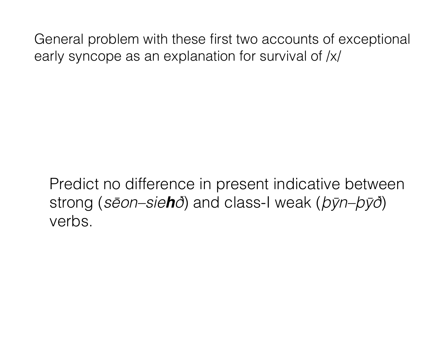General problem with these first two accounts of exceptional early syncope as an explanation for survival of /x/

Predict no difference in present indicative between strong (*s*ē*on–sieh*ð) and class-I weak (þȳ*n–*þȳð) verbs.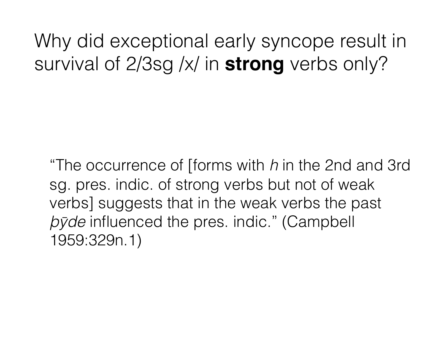Why did exceptional early syncope result in survival of 2/3sg /x/ in **strong** verbs only?

"The occurrence of [forms with *h* in the 2nd and 3rd sg. pres. indic. of strong verbs but not of weak verbs] suggests that in the weak verbs the past þȳ*de* influenced the pres. indic." (Campbell 1959:329n.1)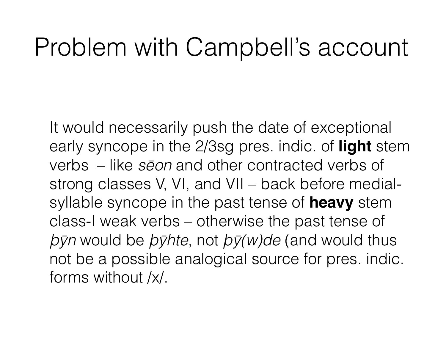## Problem with Campbell's account

It would necessarily push the date of exceptional early syncope in the 2/3sg pres. indic. of **light** stem verbs – like *s*ē*on* and other contracted verbs of strong classes V, VI, and VII – back before medialsyllable syncope in the past tense of **heavy** stem class-I weak verbs – otherwise the past tense of þȳ*n* would be þȳ*hte*, not þȳ*(w)de* (and would thus not be a possible analogical source for pres. indic. forms without /x/.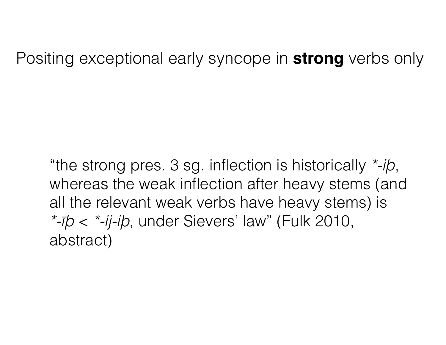Positing exceptional early syncope in **strong** verbs only

"the strong pres. 3 sg. inflection is historically *\*-i*þ, whereas the weak inflection after heavy stems (and all the relevant weak verbs have heavy stems) is *\**‑īþ < *\**‑*ij*‑*i*þ, under Sievers' law" (Fulk 2010, abstract)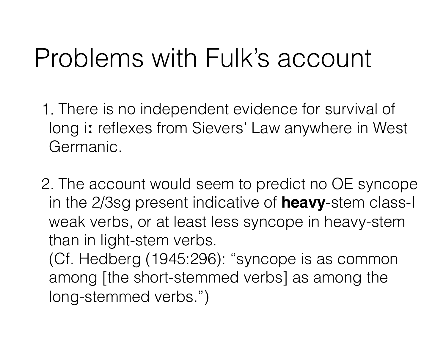# Problems with Fulk's account

- 1. There is no independent evidence for survival of long iː reflexes from Sievers' Law anywhere in West Germanic.
- 2. The account would seem to predict no OE syncope in the 2/3sg present indicative of **heavy**-stem class-I weak verbs, or at least less syncope in heavy-stem than in light-stem verbs.
	- (Cf. Hedberg (1945:296): "syncope is as common among [the short-stemmed verbs] as among the long-stemmed verbs.")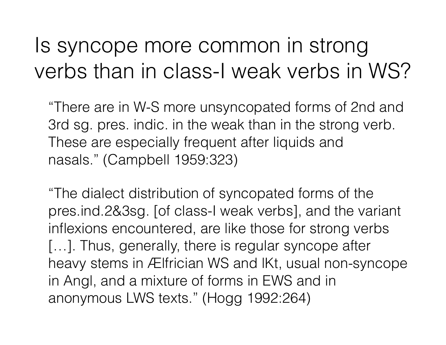## Is syncope more common in strong verbs than in class-I weak verbs in WS?

"There are in W-S more unsyncopated forms of 2nd and 3rd sg. pres. indic. in the weak than in the strong verb. These are especially frequent after liquids and nasals." (Campbell 1959:323)

"The dialect distribution of syncopated forms of the pres.ind.2&3sg. [of class-I weak verbs], and the variant inflexions encountered, are like those for strong verbs [...]. Thus, generally, there is regular syncope after heavy stems in Ælfrician WS and lKt, usual non-syncope in Angl, and a mixture of forms in EWS and in anonymous LWS texts." (Hogg 1992:264)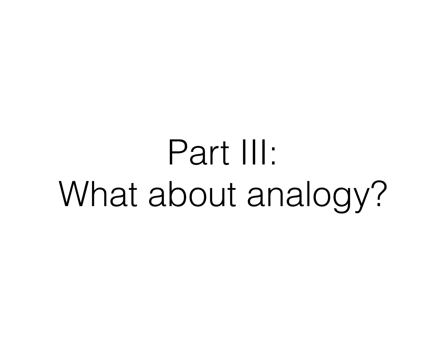# Part III: What about analogy?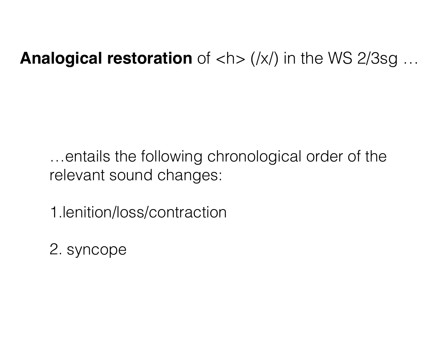#### **Analogical restoration** of <h> (/x/) in the WS 2/3sg ...

…entails the following chronological order of the relevant sound changes:

1.lenition/loss/contraction

2. syncope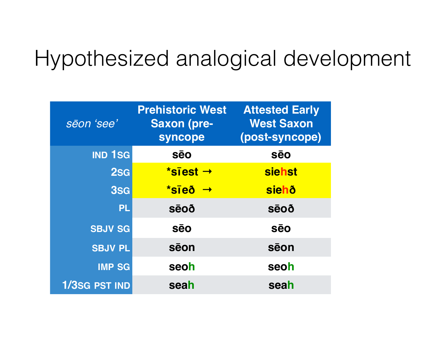## Hypothesized analogical development

| sēon 'see'     | <b>Prehistoric West</b><br><b>Saxon (pre-</b><br>syncope | <b>Attested Early</b><br><b>West Saxon</b><br>(post-syncope) |
|----------------|----------------------------------------------------------|--------------------------------------------------------------|
| <b>IND 1SG</b> | <b>S</b> eo                                              | <b>sēo</b>                                                   |
| 2sg            | *siest $\rightarrow$                                     | siehst                                                       |
| 3SG            | $*$ sīeð $\rightarrow$                                   | <b>siehð</b>                                                 |
| <b>PL</b>      | <b>SēOÕ</b>                                              | <b>SēOÕ</b>                                                  |
| <b>SBJV SG</b> | <b>sēo</b>                                               | <b>sēo</b>                                                   |
| <b>SBJV PL</b> | sēon                                                     | sēon                                                         |
| <b>IMP SG</b>  | seoh                                                     | seoh                                                         |
| 1/3SG PST IND  | seah                                                     | seah                                                         |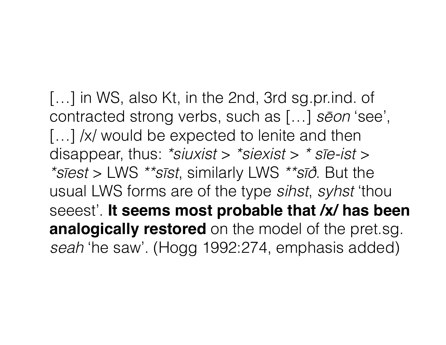[...] in WS, also Kt, in the 2nd, 3rd sg.pr.ind. of contracted strong verbs, such as […] *s*ē*on* 'see', [...] /x/ would be expected to lenite and then disappear, thus: *\*siuxist* > *\*siexist* > *\* s*ī*e-ist* > *\*s*ī*est* > LWS *\*\*s*ī*st*, similarly LWS *\*\*s*īð. But the usual LWS forms are of the type *sihst*, *syhst* 'thou seeest'. **It seems most probable that /x/ has been analogically restored** on the model of the pret.sg. *seah* 'he saw'. (Hogg 1992:274, emphasis added)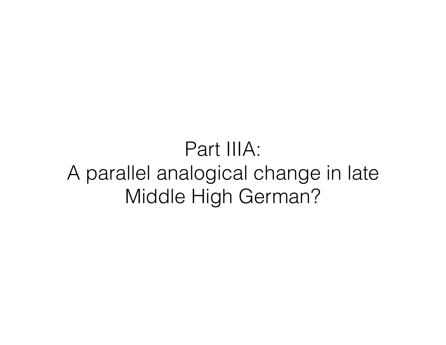## Part IIIA: A parallel analogical change in late Middle High German?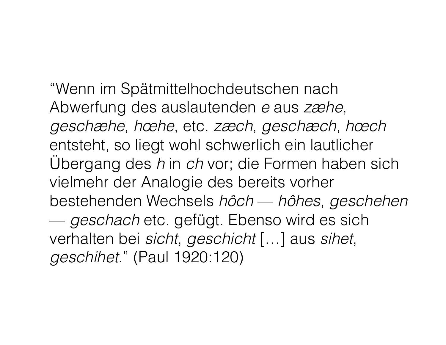"Wenn im Spätmittelhochdeutschen nach Abwerfung des auslautenden *e* aus *zæhe*, *geschæhe*, *hœhe*, etc. *zæch*, *geschæch*, *hœch* entsteht, so liegt wohl schwerlich ein lautlicher Übergang des *h* in *ch* vor; die Formen haben sich vielmehr der Analogie des bereits vorher bestehenden Wechsels *hôch* — *hôhes*, *geschehen* — *geschach* etc. gefügt. Ebenso wird es sich verhalten bei *sicht*, *geschicht* […] aus *sihet*, *geschihet*." (Paul 1920:120)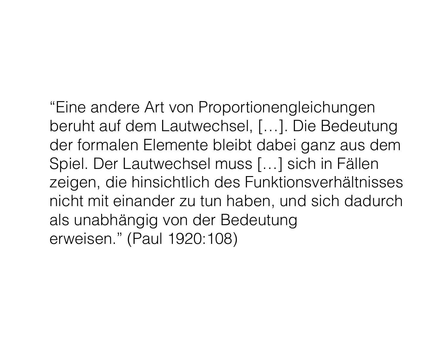"Eine andere Art von Proportionengleichungen beruht auf dem Lautwechsel, […]. Die Bedeutung der formalen Elemente bleibt dabei ganz aus dem Spiel. Der Lautwechsel muss […] sich in Fällen zeigen, die hinsichtlich des Funktionsverhältnisses nicht mit einander zu tun haben, und sich dadurch als unabhängig von der Bedeutung erweisen." (Paul 1920:108)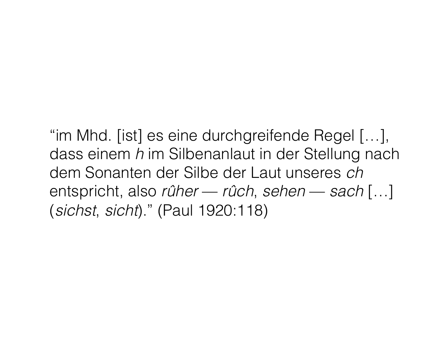"im Mhd. [ist] es eine durchgreifende Regel […], dass einem *h* im Silbenanlaut in der Stellung nach dem Sonanten der Silbe der Laut unseres *ch* entspricht, also *rûher* — *rûch*, *sehen* — *sach* […] (*sichst*, *sicht*)." (Paul 1920:118)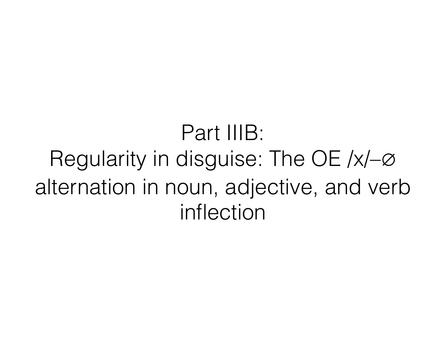Part IIIB: Regularity in disguise: The OE /x/–∅ alternation in noun, adjective, and verb inflection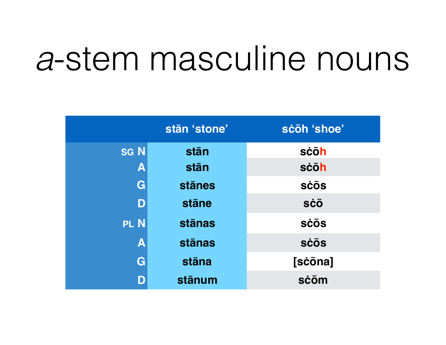# *a*-stem masculine nouns

|                         | stān 'stone'  | scoh 'shoe' |
|-------------------------|---------------|-------------|
| <b>SGN</b>              | stān          | sċōh        |
| $\mathbf{A}$            | stān          | scōh        |
| G                       | <b>stānes</b> | <b>SCOS</b> |
| D                       | stāne         | <b>sco</b>  |
| PL N                    | <b>stānas</b> | <b>SCOS</b> |
| $\overline{\mathsf{A}}$ | <b>stānas</b> | <b>SCOS</b> |
| G                       | stāna         | [sċōna]     |
| D                       | stānum        | sċōm        |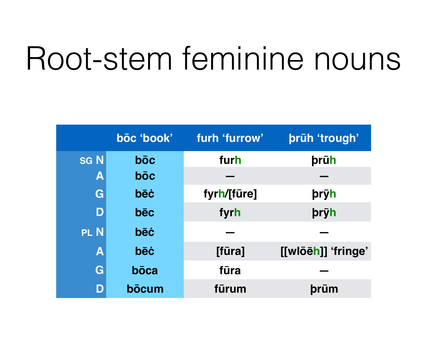# Root-stem feminine nouns

|                           | bōc 'book' | furh 'furrow' | prūh 'trough'      |
|---------------------------|------------|---------------|--------------------|
| <b>SGN</b>                | bōc        | furh          | <b>prūh</b>        |
| $\boldsymbol{\mathsf{A}}$ | <b>boc</b> |               |                    |
| G                         | <b>bēċ</b> | fyrh/[fūre]   | <b>pryh</b>        |
| D                         | bēc        | fyrh          | pryh               |
| PL N                      | <b>bēċ</b> |               |                    |
| $\overline{\mathsf{A}}$   | bēċ        | [fūra]        | [[wlōēh]] 'fringe' |
| G                         | bōca       | fūra          |                    |
| D                         | bōcum      | fūrum         | þrūm               |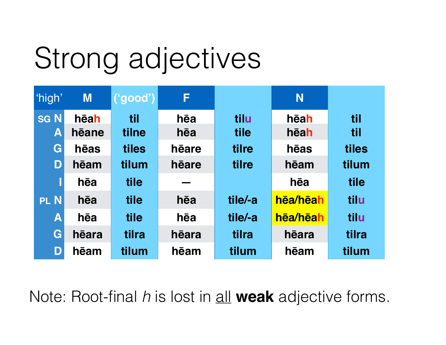# Strong adjectives

| 'high'         | <b>M</b> | $  ($ 'good') $ $ | F     |         | N        |       |
|----------------|----------|-------------------|-------|---------|----------|-------|
| <b>SGN</b>     | hēah     | til               | hēa   | tilu    | hēah     | til   |
| $ \mathbf{A} $ | hēane    | tilne             | hēa   | tile    | hēah     | til   |
| G              | hēas     | tiles             | heare | tilre   | hēas     | tiles |
| D              | hēam     | tilum             | hēare | tilre   | hēam     | tilum |
|                | hēa      | tile              |       |         | hēa      | tile  |
| <b>PLN</b>     | hēa      | tile              | hēa   | tile/-a | hēa/hēah | tilu  |
| A              | hēa      | tile              | hēa   | tile/-a | hēa/hēah | tilu  |
| G              | hēara    | tilra             | hēara | tilra   | hēara    | tilra |
| D              | hēam     | tilum             | hēam  | tilum   | hēam     | tilum |

Note: Root-final *h* is lost in all **weak** adjective forms.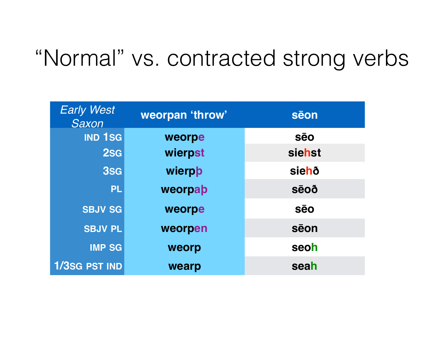## "Normal" vs. contracted strong verbs

| <b>Early West</b><br>Saxon | weorpan 'throw' | sēon        |  |
|----------------------------|-----------------|-------------|--|
| <b>IND 1SG</b>             | weorpe          | <b>sēo</b>  |  |
| 2sg                        | wierpst         | siehst      |  |
| 3sG                        | wierpb          | siehð       |  |
| <b>PL</b>                  | weorpap         | <b>sēoð</b> |  |
| <b>SBJV SG</b>             | weorpe          | <b>Sēo</b>  |  |
| <b>SBJV PL</b>             | weorpen         | sēon        |  |
| <b>IMP SG</b>              | weorp           | seoh        |  |
| <b>1/3SG PST IND</b>       | wearp           | seah        |  |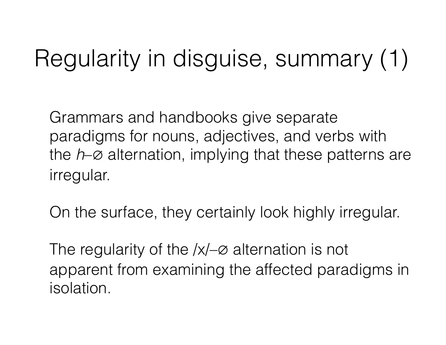# Regularity in disguise, summary (1)

Grammars and handbooks give separate paradigms for nouns, adjectives, and verbs with the *h*–∅ alternation, implying that these patterns are irregular.

On the surface, they certainly look highly irregular.

The regularity of the /x/–∅ alternation is not apparent from examining the affected paradigms in isolation.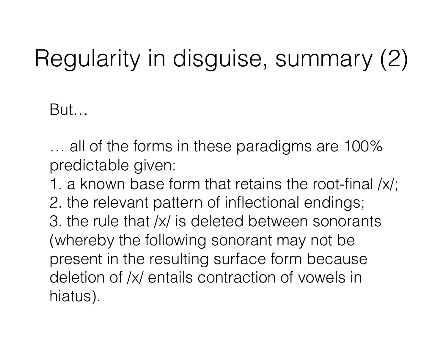# Regularity in disguise, summary (2)

But…

… all of the forms in these paradigms are 100% predictable given:

1. a known base form that retains the root-final /x/; 2. the relevant pattern of inflectional endings; 3. the rule that /x/ is deleted between sonorants (whereby the following sonorant may not be present in the resulting surface form because deletion of /x/ entails contraction of vowels in hiatus).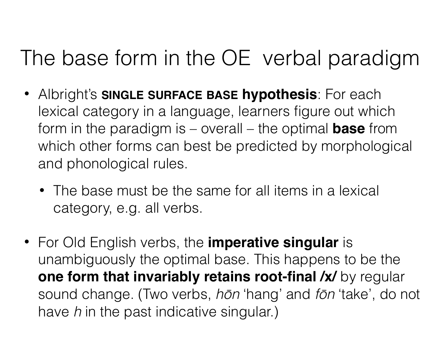## The base form in the OE verbal paradigm

- Albright's **SINGLE SURFACE BASE hypothesis**: For each lexical category in a language, learners figure out which form in the paradigm is – overall – the optimal **base** from which other forms can best be predicted by morphological and phonological rules.
	- The base must be the same for all items in a lexical category, e.g. all verbs.
- For Old English verbs, the **imperative singular** is unambiguously the optimal base. This happens to be the **one form that invariably retains root-final /x/** by regular sound change. (Two verbs, *h*ō*n* 'hang' and *f*ō*n* 'take', do not have *h* in the past indicative singular.)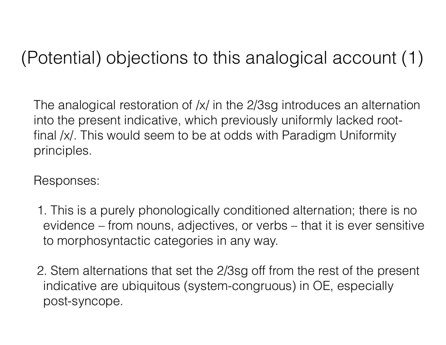### (Potential) objections to this analogical account (1)

The analogical restoration of /x/ in the 2/3sg introduces an alternation into the present indicative, which previously uniformly lacked rootfinal /x/. This would seem to be at odds with Paradigm Uniformity principles.

Responses:

- 1. This is a purely phonologically conditioned alternation; there is no evidence – from nouns, adjectives, or verbs – that it is ever sensitive to morphosyntactic categories in any way.
- 2. Stem alternations that set the 2/3sg off from the rest of the present indicative are ubiquitous (system-congruous) in OE, especially post-syncope.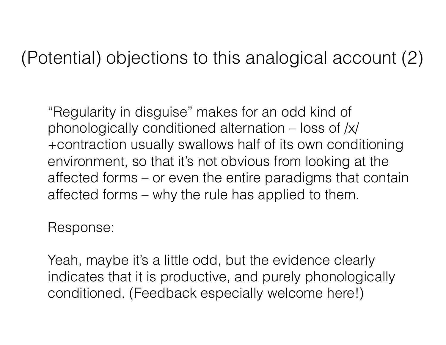#### (Potential) objections to this analogical account (2)

"Regularity in disguise" makes for an odd kind of phonologically conditioned alternation – loss of /x/ +contraction usually swallows half of its own conditioning environment, so that it's not obvious from looking at the affected forms – or even the entire paradigms that contain affected forms – why the rule has applied to them.

Response:

Yeah, maybe it's a little odd, but the evidence clearly indicates that it is productive, and purely phonologically conditioned. (Feedback especially welcome here!)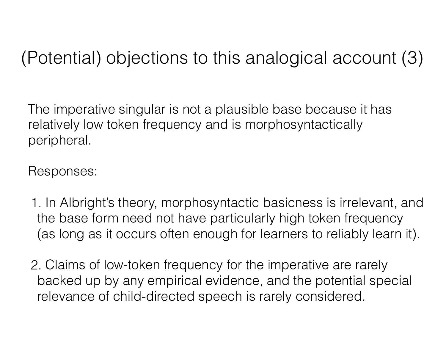### (Potential) objections to this analogical account (3)

The imperative singular is not a plausible base because it has relatively low token frequency and is morphosyntactically peripheral.

Responses:

- 1. In Albright's theory, morphosyntactic basicness is irrelevant, and the base form need not have particularly high token frequency (as long as it occurs often enough for learners to reliably learn it).
- 2. Claims of low-token frequency for the imperative are rarely backed up by any empirical evidence, and the potential special relevance of child-directed speech is rarely considered.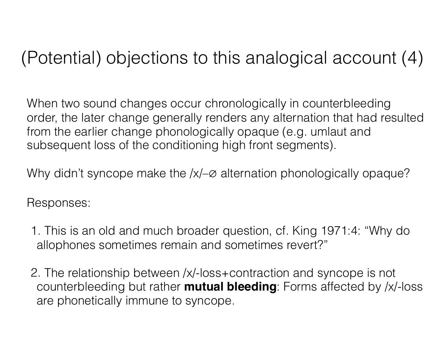### (Potential) objections to this analogical account (4)

When two sound changes occur chronologically in counterbleeding order, the later change generally renders any alternation that had resulted from the earlier change phonologically opaque (e.g. umlaut and subsequent loss of the conditioning high front segments).

Why didn't syncope make the /x/–∅ alternation phonologically opaque?

Responses:

- 1. This is an old and much broader question, cf. King 1971:4: "Why do allophones sometimes remain and sometimes revert?"
- 2. The relationship between /x/-loss+contraction and syncope is not counterbleeding but rather **mutual bleeding**: Forms affected by /x/-loss are phonetically immune to syncope.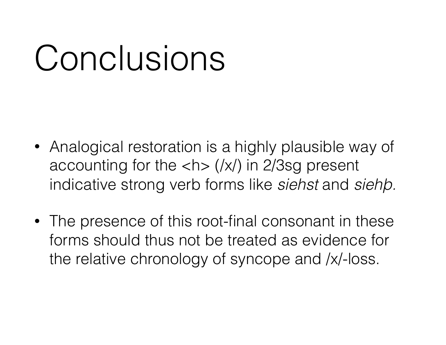# Conclusions

- Analogical restoration is a highly plausible way of accounting for the  $\langle x \rangle$  in 2/3sg present indicative strong verb forms like *siehst* and *sieh*þ*.*
- The presence of this root-final consonant in these forms should thus not be treated as evidence for the relative chronology of syncope and /x/-loss.